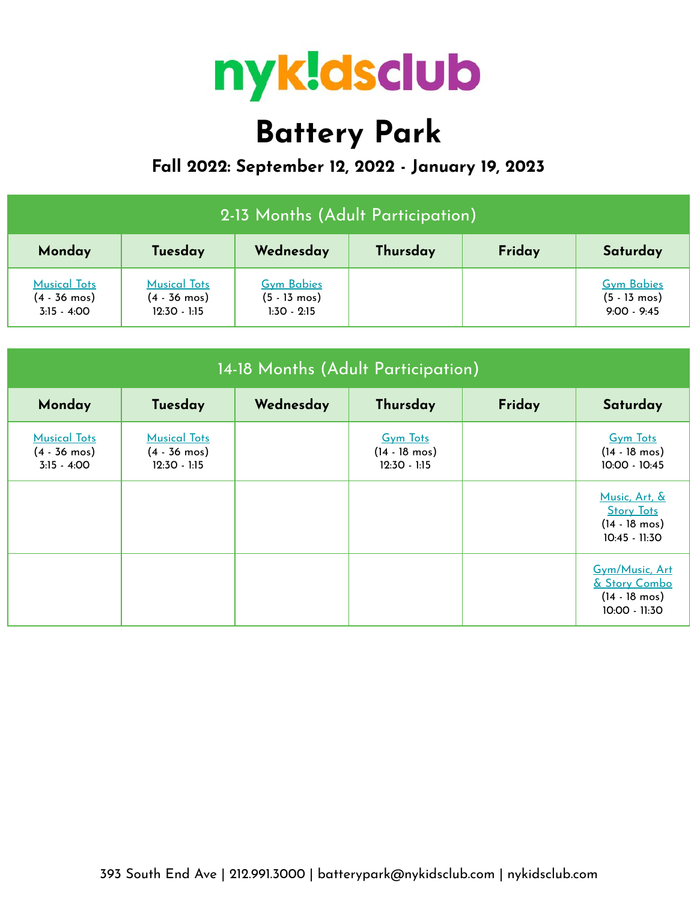

# **Battery Park**

## **Fall 2022: September 12, 2022 - January 19, 2023**

| 2-13 Months (Adult Participation)                                |                                                                 |                                                              |  |  |                                                              |  |  |
|------------------------------------------------------------------|-----------------------------------------------------------------|--------------------------------------------------------------|--|--|--------------------------------------------------------------|--|--|
| Wednesday<br>Thursday<br>Friday<br>Monday<br>Tuesday<br>Saturday |                                                                 |                                                              |  |  |                                                              |  |  |
| <b>Musical Tots</b><br>$(4 - 36 \text{ mos})$<br>$3:15 - 4:00$   | <b>Musical Tots</b><br>$(4 - 36 \text{ mos})$<br>$12:30 - 1:15$ | <b>Gym Babies</b><br>$(5 - 13 \text{ mos})$<br>$1:30 - 2:15$ |  |  | <b>Gym Babies</b><br>$(5 - 13 \text{ mos})$<br>$9:00 - 9:45$ |  |  |

| 14-18 Months (Adult Participation)                             |                                                                 |           |                                                              |        |                                                                                  |  |
|----------------------------------------------------------------|-----------------------------------------------------------------|-----------|--------------------------------------------------------------|--------|----------------------------------------------------------------------------------|--|
| Monday                                                         | Tuesday                                                         | Wednesday | Thursday                                                     | Friday | Saturday                                                                         |  |
| <b>Musical Tots</b><br>$(4 - 36 \text{ mos})$<br>$3:15 - 4:00$ | <b>Musical Tots</b><br>$(4 - 36 \text{ mos})$<br>$12:30 - 1:15$ |           | <b>Gym Tots</b><br>$(14 - 18 \text{ mos})$<br>$12:30 - 1:15$ |        | <b>Gym Tots</b><br>$(14 - 18 \text{ mos})$<br>10:00 - 10:45                      |  |
|                                                                |                                                                 |           |                                                              |        | Music, Art, &<br><b>Story Tots</b><br>$(14 - 18 \text{ mos})$<br>$10:45 - 11:30$ |  |
|                                                                |                                                                 |           |                                                              |        | Gym/Music, Art<br>& Story Combo<br>$(14 - 18 \text{ mos})$<br>10:00 - 11:30      |  |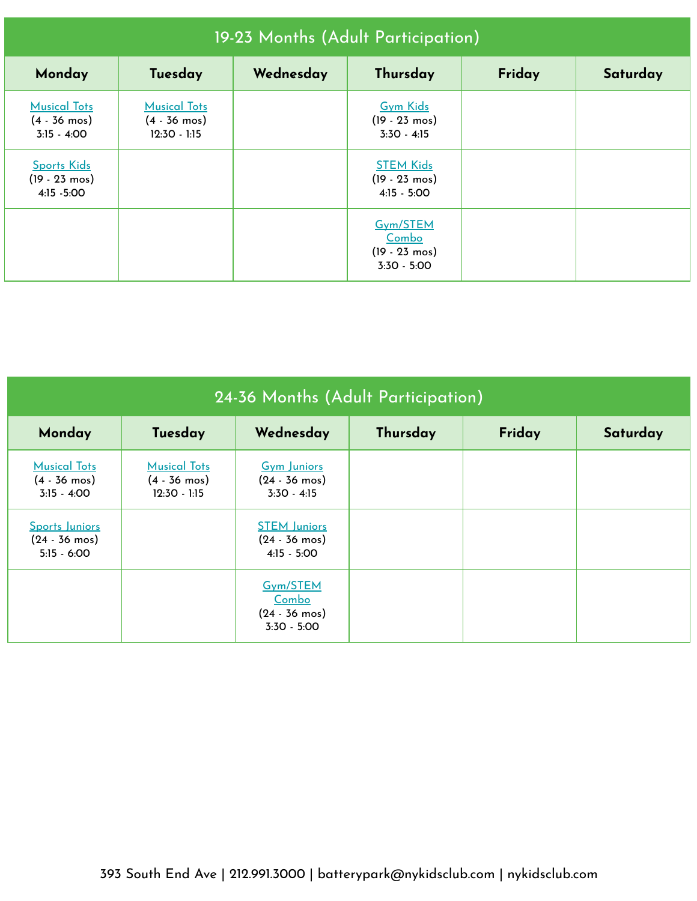| 19-23 Months (Adult Participation)                             |                                                                 |           |                                                               |        |          |  |
|----------------------------------------------------------------|-----------------------------------------------------------------|-----------|---------------------------------------------------------------|--------|----------|--|
| Monday                                                         | Tuesday                                                         | Wednesday | Thursday                                                      | Friday | Saturday |  |
| <b>Musical Tots</b><br>$(4 - 36 \text{ mos})$<br>$3:15 - 4:00$ | <b>Musical Tots</b><br>$(4 - 36 \text{ mos})$<br>$12:30 - 1:15$ |           | <b>Gym Kids</b><br>$(19 - 23 \text{ mos})$<br>$3:30 - 4:15$   |        |          |  |
| <b>Sports Kids</b><br>$(19 - 23 \text{ mos})$<br>4:15 - 5:00   |                                                                 |           | <b>STEM Kids</b><br>$(19 - 23 \text{ mos})$<br>$4:15 - 5:00$  |        |          |  |
|                                                                |                                                                 |           | Gym/STEM<br>Combo<br>$(19 - 23 \text{ mos})$<br>$3:30 - 5:00$ |        |          |  |

| 24-36 Months (Adult Participation)                                |                                                                 |                                                                 |          |        |          |  |
|-------------------------------------------------------------------|-----------------------------------------------------------------|-----------------------------------------------------------------|----------|--------|----------|--|
| Monday                                                            | Tuesday                                                         | Wednesday                                                       | Thursday | Friday | Saturday |  |
| <b>Musical Tots</b><br>$(4 - 36 \text{ mos})$<br>$3:15 - 4:00$    | <b>Musical Tots</b><br>$(4 - 36 \text{ mos})$<br>$12:30 - 1:15$ | <b>Gym Juniors</b><br>$(24 - 36 \text{ mos})$<br>$3:30 - 4:15$  |          |        |          |  |
| <b>Sports Juniors</b><br>$(24 - 36 \text{ mos})$<br>$5:15 - 6:00$ |                                                                 | <b>STEM Juniors</b><br>$(24 - 36 \text{ mos})$<br>$4:15 - 5:00$ |          |        |          |  |
|                                                                   |                                                                 | Gym/STEM<br>Combo<br>$(24 - 36 \text{ mos})$<br>$3:30 - 5:00$   |          |        |          |  |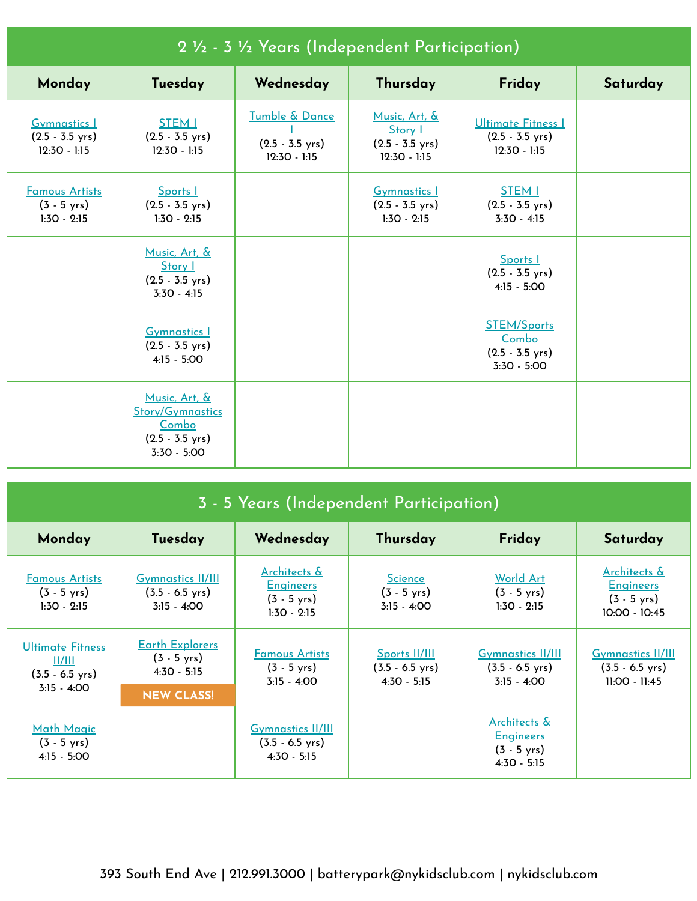| 2 1/2 - 3 1/2 Years (Independent Participation)                    |                                                                                                 |                                                               |                                                                         |                                                                           |          |  |  |
|--------------------------------------------------------------------|-------------------------------------------------------------------------------------------------|---------------------------------------------------------------|-------------------------------------------------------------------------|---------------------------------------------------------------------------|----------|--|--|
| Monday                                                             | Tuesday                                                                                         | Wednesday                                                     | Thursday                                                                | Friday                                                                    | Saturday |  |  |
| <b>Gymnastics 1</b><br>$(2.5 - 3.5 \text{ yrs})$<br>$12:30 - 1:15$ | <b>STEM I</b><br>$(2.5 - 3.5 \text{ yrs})$<br>$12:30 - 1:15$                                    | Tumble & Dance<br>$(2.5 - 3.5 \text{ yrs})$<br>$12:30 - 1:15$ | Music, Art, &<br>Story I<br>$(2.5 - 3.5 \text{ yrs})$<br>$12:30 - 1:15$ | Ultimate Fitness I<br>$(2.5 - 3.5 \text{ yrs})$<br>$12:30 - 1:15$         |          |  |  |
| <b>Famous Artists</b><br>$(3 - 5 \text{ yrs})$<br>$1:30 - 2:15$    | Sports 1<br>$(2.5 - 3.5 \text{ yrs})$<br>$1:30 - 2:15$                                          |                                                               | <b>Gymnastics 1</b><br>$(2.5 - 3.5 \text{ yrs})$<br>$1:30 - 2:15$       | <b>STEM I</b><br>$(2.5 - 3.5 \text{ yrs})$<br>$3:30 - 4:15$               |          |  |  |
|                                                                    | Music, Art, &<br>Story 1<br>$(2.5 - 3.5 \text{ yrs})$<br>$3:30 - 4:15$                          |                                                               |                                                                         | Sports I<br>$(2.5 - 3.5 \text{ yrs})$<br>$4:15 - 5:00$                    |          |  |  |
|                                                                    | <b>Gymnastics 1</b><br>$(2.5 - 3.5 \text{ yrs})$<br>$4:15 - 5:00$                               |                                                               |                                                                         | <b>STEM/Sports</b><br>Combo<br>$(2.5 - 3.5 \text{ yrs})$<br>$3:30 - 5:00$ |          |  |  |
|                                                                    | Music, Art, &<br><b>Story/Gymnastics</b><br>Combo<br>$(2.5 - 3.5 \text{ yrs})$<br>$3:30 - 5:00$ |                                                               |                                                                         |                                                                           |          |  |  |

| 3 - 5 Years (Independent Participation)                                         |                                                                                       |                                                                                       |                                                             |                                                                                       |                                                                              |  |  |
|---------------------------------------------------------------------------------|---------------------------------------------------------------------------------------|---------------------------------------------------------------------------------------|-------------------------------------------------------------|---------------------------------------------------------------------------------------|------------------------------------------------------------------------------|--|--|
| Monday                                                                          | Tuesday                                                                               | Wednesday                                                                             | Thursday                                                    | Friday                                                                                | Saturday                                                                     |  |  |
| <b>Famous Artists</b><br>$(3 - 5 \text{ yrs})$<br>$1:30 - 2:15$                 | <b>Gymnastics II/III</b><br>$(3.5 - 6.5 \text{ yrs})$<br>$3:15 - 4:00$                | <u>Architects &amp;</u><br><b>Engineers</b><br>$(3 - 5 \text{ yrs})$<br>$1:30 - 2:15$ | <b>Science</b><br>$(3 - 5 \text{ yrs})$<br>$3:15 - 4:00$    | World Art<br>$(3 - 5 \text{ yrs})$<br>$1:30 - 2:15$                                   | Architects &<br><b>Engineers</b><br>$(3 - 5 \text{ yrs})$<br>$10:00 - 10:45$ |  |  |
| <b>Ultimate Fitness</b><br>  /   <br>$(3.5 - 6.5 \text{ yrs})$<br>$3:15 - 4:00$ | <b>Earth Explorers</b><br>$(3 - 5 \text{ yrs})$<br>$4:30 - 5:15$<br><b>NEW CLASS!</b> | <b>Famous Artists</b><br>$(3 - 5 \text{ yrs})$<br>$3:15 - 4:00$                       | Sports II/III<br>$(3.5 - 6.5 \text{ yrs})$<br>$4:30 - 5:15$ | <b>Gymnastics II/III</b><br>$(3.5 - 6.5 \text{ yrs})$<br>$3:15 - 4:00$                | <b>Gymnastics II/III</b><br>$(3.5 - 6.5 \text{ yrs})$<br>11:00 - 11:45       |  |  |
| Math Magic<br>$(3 - 5 \text{ yrs})$<br>$4:15 - 5:00$                            |                                                                                       | <u>Gymnastics II/III</u><br>$(3.5 - 6.5 \text{ yrs})$<br>$4:30 - 5:15$                |                                                             | <u>Architects &amp;</u><br><b>Engineers</b><br>$(3 - 5 \text{ yrs})$<br>$4:30 - 5:15$ |                                                                              |  |  |